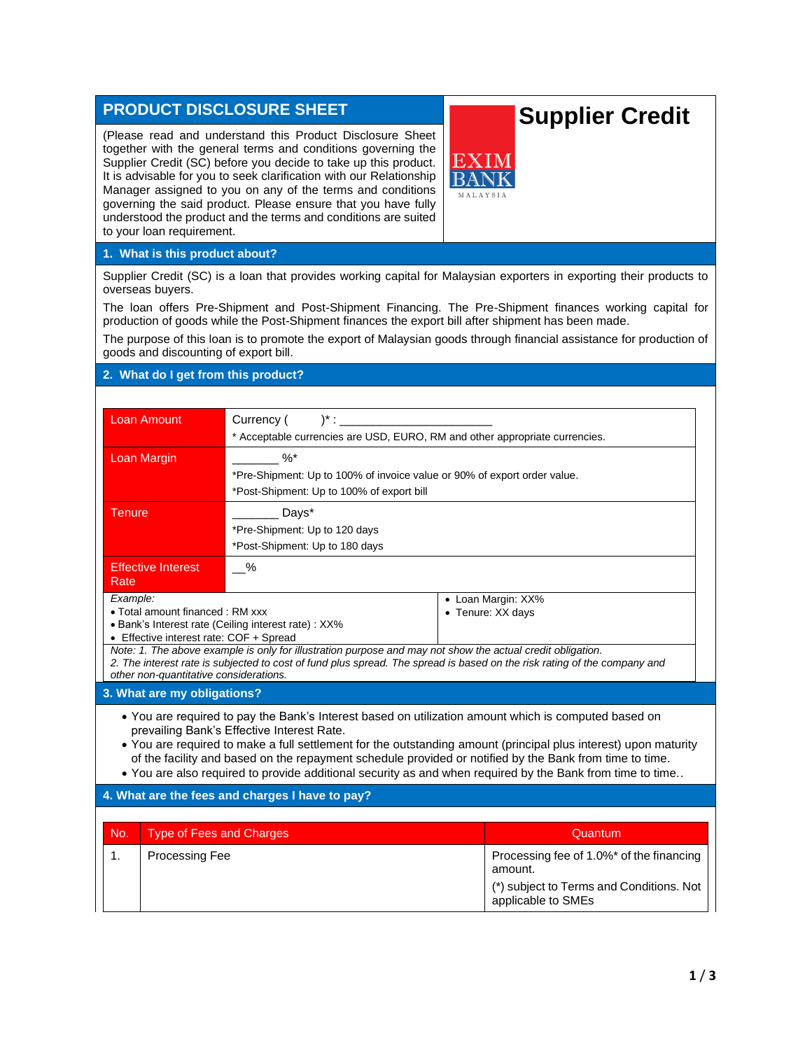## **PRODUCT DISCLOSURE SHEET**

(Please read and understand this Product Disclosure Sheet together with the general terms and conditions governing the Supplier Credit (SC) before you decide to take up this product. It is advisable for you to seek clarification with our Relationship Manager assigned to you on any of the terms and conditions governing the said product. Please ensure that you have fully understood the product and the terms and conditions are suited to your loan requirement.

## **Supplier Credit**



## **1. What is this product about?**

Supplier Credit (SC) is a loan that provides working capital for Malaysian exporters in exporting their products to overseas buyers.

The loan offers Pre-Shipment and Post-Shipment Financing. The Pre-Shipment finances working capital for production of goods while the Post-Shipment finances the export bill after shipment has been made.

The purpose of this loan is to promote the export of Malaysian goods through financial assistance for production of goods and discounting of export bill.

## **2. What do I get from this product?**

| <b>Loan Amount</b>                                                                                                                                                                                                                                                                                                                                                                                                                                                                            | Currency (<br>$)^{*}$ : $\_$                                                                                                                          |  |                    |  |  |  |
|-----------------------------------------------------------------------------------------------------------------------------------------------------------------------------------------------------------------------------------------------------------------------------------------------------------------------------------------------------------------------------------------------------------------------------------------------------------------------------------------------|-------------------------------------------------------------------------------------------------------------------------------------------------------|--|--------------------|--|--|--|
|                                                                                                                                                                                                                                                                                                                                                                                                                                                                                               | * Acceptable currencies are USD, EURO, RM and other appropriate currencies.                                                                           |  |                    |  |  |  |
| Loan Margin                                                                                                                                                                                                                                                                                                                                                                                                                                                                                   | $\%$                                                                                                                                                  |  |                    |  |  |  |
|                                                                                                                                                                                                                                                                                                                                                                                                                                                                                               | *Pre-Shipment: Up to 100% of invoice value or 90% of export order value.                                                                              |  |                    |  |  |  |
|                                                                                                                                                                                                                                                                                                                                                                                                                                                                                               | *Post-Shipment: Up to 100% of export bill                                                                                                             |  |                    |  |  |  |
| Tenure                                                                                                                                                                                                                                                                                                                                                                                                                                                                                        | Days*                                                                                                                                                 |  |                    |  |  |  |
|                                                                                                                                                                                                                                                                                                                                                                                                                                                                                               | *Pre-Shipment: Up to 120 days<br>*Post-Shipment: Up to 180 days                                                                                       |  |                    |  |  |  |
|                                                                                                                                                                                                                                                                                                                                                                                                                                                                                               |                                                                                                                                                       |  |                    |  |  |  |
| <b>Effective Interest</b><br>Rate                                                                                                                                                                                                                                                                                                                                                                                                                                                             | $\%$                                                                                                                                                  |  |                    |  |  |  |
| Example:                                                                                                                                                                                                                                                                                                                                                                                                                                                                                      |                                                                                                                                                       |  | • Loan Margin: XX% |  |  |  |
| • Total amount financed: RM xxx                                                                                                                                                                                                                                                                                                                                                                                                                                                               |                                                                                                                                                       |  | • Tenure: XX days  |  |  |  |
|                                                                                                                                                                                                                                                                                                                                                                                                                                                                                               | • Bank's Interest rate (Ceiling interest rate) : XX%                                                                                                  |  |                    |  |  |  |
|                                                                                                                                                                                                                                                                                                                                                                                                                                                                                               | • Effective interest rate: COF + Spread<br>Note: 1. The above example is only for illustration purpose and may not show the actual credit obligation. |  |                    |  |  |  |
|                                                                                                                                                                                                                                                                                                                                                                                                                                                                                               | 2. The interest rate is subjected to cost of fund plus spread. The spread is based on the risk rating of the company and                              |  |                    |  |  |  |
| other non-quantitative considerations.                                                                                                                                                                                                                                                                                                                                                                                                                                                        |                                                                                                                                                       |  |                    |  |  |  |
| 3. What are my obligations?                                                                                                                                                                                                                                                                                                                                                                                                                                                                   |                                                                                                                                                       |  |                    |  |  |  |
| • You are required to pay the Bank's Interest based on utilization amount which is computed based on<br>prevailing Bank's Effective Interest Rate.<br>• You are required to make a full settlement for the outstanding amount (principal plus interest) upon maturity<br>of the facility and based on the repayment schedule provided or notified by the Bank from time to time.<br>. You are also required to provide additional security as and when required by the Bank from time to time |                                                                                                                                                       |  |                    |  |  |  |
| 4. What are the fees and charges I have to pay?                                                                                                                                                                                                                                                                                                                                                                                                                                               |                                                                                                                                                       |  |                    |  |  |  |
|                                                                                                                                                                                                                                                                                                                                                                                                                                                                                               |                                                                                                                                                       |  |                    |  |  |  |
| <b>Type of Fees and Charges</b><br>No.                                                                                                                                                                                                                                                                                                                                                                                                                                                        |                                                                                                                                                       |  | Quantum            |  |  |  |
|                                                                                                                                                                                                                                                                                                                                                                                                                                                                                               |                                                                                                                                                       |  |                    |  |  |  |

| No. | Type of Fees and Charges | Quantum                                                                                                               |
|-----|--------------------------|-----------------------------------------------------------------------------------------------------------------------|
|     | Processing Fee           | Processing fee of 1.0%* of the financing<br>amount.<br>(*) subject to Terms and Conditions. Not<br>applicable to SMEs |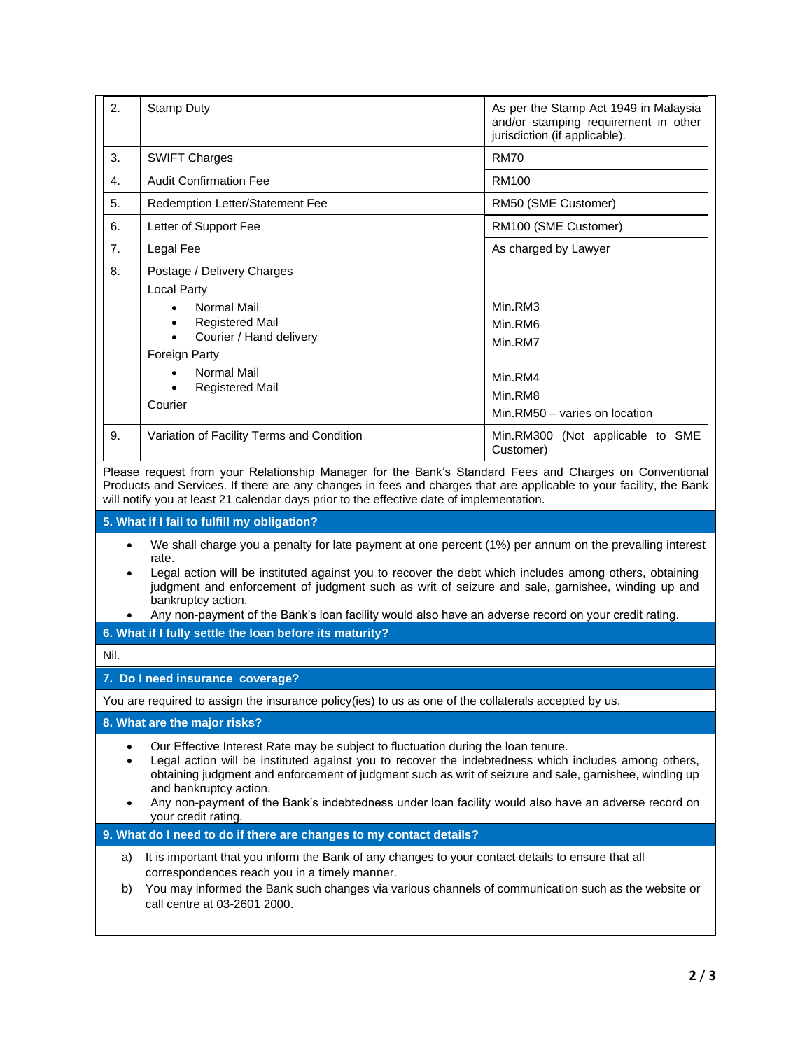| 2.                                                                                                                                                                                                                                                                                                                                                                                                                                                                        | <b>Stamp Duty</b>                                                                                                                                                                                                                                                                                                                                                                                                                                           | As per the Stamp Act 1949 in Malaysia<br>and/or stamping requirement in other<br>jurisdiction (if applicable).                        |  |  |  |
|---------------------------------------------------------------------------------------------------------------------------------------------------------------------------------------------------------------------------------------------------------------------------------------------------------------------------------------------------------------------------------------------------------------------------------------------------------------------------|-------------------------------------------------------------------------------------------------------------------------------------------------------------------------------------------------------------------------------------------------------------------------------------------------------------------------------------------------------------------------------------------------------------------------------------------------------------|---------------------------------------------------------------------------------------------------------------------------------------|--|--|--|
| 3.                                                                                                                                                                                                                                                                                                                                                                                                                                                                        | <b>SWIFT Charges</b>                                                                                                                                                                                                                                                                                                                                                                                                                                        | <b>RM70</b>                                                                                                                           |  |  |  |
| 4.                                                                                                                                                                                                                                                                                                                                                                                                                                                                        | <b>Audit Confirmation Fee</b>                                                                                                                                                                                                                                                                                                                                                                                                                               | <b>RM100</b>                                                                                                                          |  |  |  |
| 5.                                                                                                                                                                                                                                                                                                                                                                                                                                                                        | Redemption Letter/Statement Fee                                                                                                                                                                                                                                                                                                                                                                                                                             | RM50 (SME Customer)                                                                                                                   |  |  |  |
| 6.                                                                                                                                                                                                                                                                                                                                                                                                                                                                        | Letter of Support Fee                                                                                                                                                                                                                                                                                                                                                                                                                                       | RM100 (SME Customer)                                                                                                                  |  |  |  |
| 7.                                                                                                                                                                                                                                                                                                                                                                                                                                                                        | Legal Fee                                                                                                                                                                                                                                                                                                                                                                                                                                                   | As charged by Lawyer                                                                                                                  |  |  |  |
| 8.<br>9.                                                                                                                                                                                                                                                                                                                                                                                                                                                                  | Postage / Delivery Charges<br><b>Local Party</b><br>Normal Mail<br>$\bullet$<br><b>Registered Mail</b><br>Courier / Hand delivery<br>$\bullet$<br>Foreign Party<br><b>Normal Mail</b><br><b>Registered Mail</b><br>Courier<br>Variation of Facility Terms and Condition                                                                                                                                                                                     | Min.RM3<br>Min.RM6<br>Min.RM7<br>Min.RM4<br>Min.RM8<br>Min.RM50 - varies on location<br>Min.RM300 (Not applicable to SME<br>Customer) |  |  |  |
|                                                                                                                                                                                                                                                                                                                                                                                                                                                                           | Please request from your Relationship Manager for the Bank's Standard Fees and Charges on Conventional<br>Products and Services. If there are any changes in fees and charges that are applicable to your facility, the Bank<br>will notify you at least 21 calendar days prior to the effective date of implementation.<br>5. What if I fail to fulfill my obligation?                                                                                     |                                                                                                                                       |  |  |  |
| We shall charge you a penalty for late payment at one percent (1%) per annum on the prevailing interest<br>$\bullet$<br>rate.<br>Legal action will be instituted against you to recover the debt which includes among others, obtaining<br>judgment and enforcement of judgment such as writ of seizure and sale, garnishee, winding up and<br>bankruptcy action.<br>Any non-payment of the Bank's loan facility would also have an adverse record on your credit rating. |                                                                                                                                                                                                                                                                                                                                                                                                                                                             |                                                                                                                                       |  |  |  |
|                                                                                                                                                                                                                                                                                                                                                                                                                                                                           | 6. What if I fully settle the loan before its maturity?                                                                                                                                                                                                                                                                                                                                                                                                     |                                                                                                                                       |  |  |  |
| Nil.                                                                                                                                                                                                                                                                                                                                                                                                                                                                      |                                                                                                                                                                                                                                                                                                                                                                                                                                                             |                                                                                                                                       |  |  |  |
|                                                                                                                                                                                                                                                                                                                                                                                                                                                                           | 7. Do I need insurance coverage?                                                                                                                                                                                                                                                                                                                                                                                                                            |                                                                                                                                       |  |  |  |
|                                                                                                                                                                                                                                                                                                                                                                                                                                                                           | You are required to assign the insurance policy(ies) to us as one of the collaterals accepted by us.                                                                                                                                                                                                                                                                                                                                                        |                                                                                                                                       |  |  |  |
|                                                                                                                                                                                                                                                                                                                                                                                                                                                                           | 8. What are the major risks?                                                                                                                                                                                                                                                                                                                                                                                                                                |                                                                                                                                       |  |  |  |
| ٠<br>$\bullet$                                                                                                                                                                                                                                                                                                                                                                                                                                                            | Our Effective Interest Rate may be subject to fluctuation during the loan tenure.<br>Legal action will be instituted against you to recover the indebtedness which includes among others,<br>obtaining judgment and enforcement of judgment such as writ of seizure and sale, garnishee, winding up<br>and bankruptcy action.<br>Any non-payment of the Bank's indebtedness under loan facility would also have an adverse record on<br>your credit rating. |                                                                                                                                       |  |  |  |
|                                                                                                                                                                                                                                                                                                                                                                                                                                                                           | 9. What do I need to do if there are changes to my contact details?                                                                                                                                                                                                                                                                                                                                                                                         |                                                                                                                                       |  |  |  |
| a)                                                                                                                                                                                                                                                                                                                                                                                                                                                                        | It is important that you inform the Bank of any changes to your contact details to ensure that all<br>correspondences reach you in a timely manner.<br>You may informed the Bank such changes via various channels of communication such as the website or<br>b)<br>call centre at 03-2601 2000.                                                                                                                                                            |                                                                                                                                       |  |  |  |